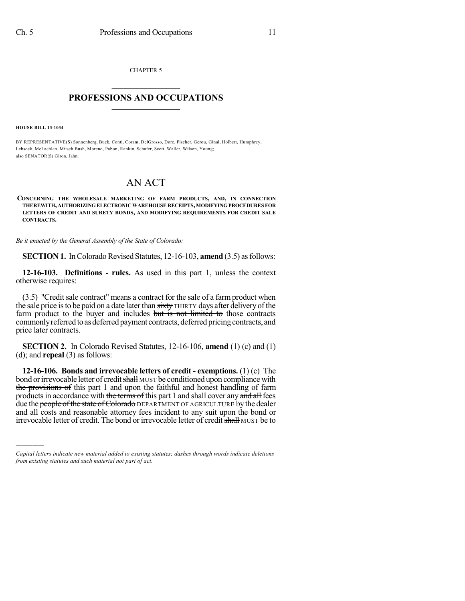CHAPTER 5  $\mathcal{L}_\text{max}$  . The set of the set of the set of the set of the set of the set of the set of the set of the set of the set of the set of the set of the set of the set of the set of the set of the set of the set of the set

## **PROFESSIONS AND OCCUPATIONS**  $\frac{1}{2}$  ,  $\frac{1}{2}$  ,  $\frac{1}{2}$  ,  $\frac{1}{2}$  ,  $\frac{1}{2}$  ,  $\frac{1}{2}$

**HOUSE BILL 13-1034**

)))))

BY REPRESENTATIVE(S) Sonnenberg, Buck, Conti, Coram, DelGrosso, Dore, Fischer, Gerou, Ginal, Holbert, Humphrey, Lebsock, McLachlan, Mitsch Bush, Moreno, Pabon, Rankin, Schafer, Scott, Waller, Wilson, Young; also SENATOR(S) Giron, Jahn.

## AN ACT

**CONCERNING THE WHOLESALE MARKETING OF FARM PRODUCTS, AND, IN CONNECTION THEREWITH, AUTHORIZINGELECTRONICWAREHOUSE RECEIPTS,MODIFYINGPROCEDURES FOR LETTERS OF CREDIT AND SURETY BONDS, AND MODIFYING REQUIREMENTS FOR CREDIT SALE CONTRACTS.**

*Be it enacted by the General Assembly of the State of Colorado:*

**SECTION 1.** In Colorado Revised Statutes, 12-16-103, **amend** (3.5) as follows:

**12-16-103. Definitions - rules.** As used in this part 1, unless the context otherwise requires:

(3.5) "Creditsale contract" means a contract for the sale of a farm product when the sale price is to be paid on a date later than sixty THIRTY days after delivery of the farm product to the buyer and includes but is not limited to those contracts commonly referred to as deferred payment contracts, deferred pricing contracts, and price later contracts.

**SECTION 2.** In Colorado Revised Statutes, 12-16-106, **amend** (1) (c) and (1) (d); and **repeal** (3) as follows:

**12-16-106. Bonds and irrevocable letters of credit - exemptions.** (1) (c) The bond or irrevocable letter of credit shall MUST be conditioned upon compliance with the provisions of this part 1 and upon the faithful and honest handling of farm products in accordance with the terms of this part 1 and shall cover any and all fees due the people of the state of Colorado DEPARTMENT OF AGRICULTURE by the dealer and all costs and reasonable attorney fees incident to any suit upon the bond or irrevocable letter of credit. The bond or irrevocable letter of credit shall MUST be to

*Capital letters indicate new material added to existing statutes; dashes through words indicate deletions from existing statutes and such material not part of act.*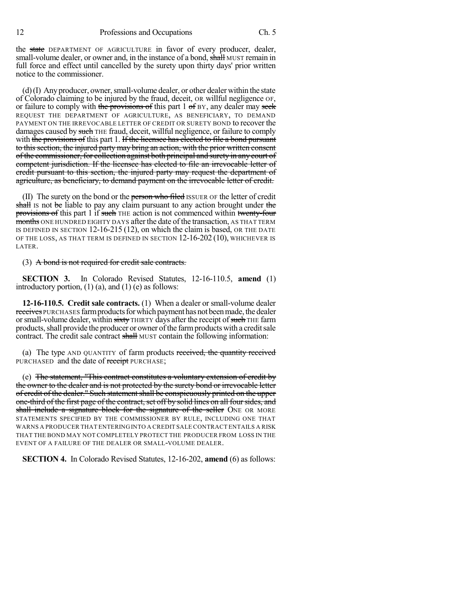the state DEPARTMENT OF AGRICULTURE in favor of every producer, dealer, small-volume dealer, or owner and, in the instance of a bond, shall MUST remain in full force and effect until cancelled by the surety upon thirty days' prior written notice to the commissioner.

 $(d)$ (I) Any producer, owner, small-volume dealer, or other dealer within the state of Colorado claiming to be injured by the fraud, deceit, OR willful negligence OF, or failure to comply with the provisions of this part  $1 \text{ of } BY$ , any dealer may seek REQUEST THE DEPARTMENT OF AGRICULTURE, AS BENEFICIARY, TO DEMAND PAYMENT ON THE IRREVOCABLE LETTER OF CREDIT OR SURETY BOND to recover the damages caused by such THE fraud, deceit, willful negligence, or failure to comply with the provisions of this part 1. If the licensee has elected to file a bond pursuant to thissection, the injured party may bring an action, with the prior written consent of the commissioner, for collection against both principal and surety in any court of competent jurisdiction. If the licensee has elected to file an irrevocable letter of credit pursuant to this section, the injured party may request the department of agriculture, as beneficiary, to demand payment on the irrevocable letter of credit.

(II) The surety on the bond or the person who filed ISSUER OF the letter of credit shall is not be liable to pay any claim pursuant to any action brought under the provisions of this part 1 if such THE action is not commenced within twenty-four months ONE HUNDRED EIGHTY DAYS after the date of the transaction, AS THAT TERM IS DEFINED IN SECTION 12-16-215 (12), on which the claim is based, OR THE DATE OF THE LOSS, AS THAT TERM IS DEFINED IN SECTION 12-16-202 (10), WHICHEVER IS LATER.

(3) A bond is not required for credit sale contracts.

**SECTION 3.** In Colorado Revised Statutes, 12-16-110.5, **amend** (1) introductory portion, (1) (a), and (1) (e) as follows:

**12-16-110.5. Credit sale contracts.** (1) When a dealer or small-volume dealer receives PURCHASES farm products for which payment has not been made, the dealer or small-volume dealer, within sixty THIRTY days after the receipt of such THE farm products, shall provide the producer or owner of the farm products with a credit sale contract. The credit sale contract shall MUST contain the following information:

(a) The type AND QUANTITY of farm products received, the quantity received PURCHASED and the date of receipt PURCHASE;

(e) The statement, "This contract constitutes a voluntary extension of credit by the owner to the dealer and is not protected by the surety bond or irrevocable letter of credit of the dealer." Such statement shall be conspicuously printed on the upper one-third of the first page of the contract, set off by solid lines on all four sides, and shall include a signature block for the signature of the seller ONE OR MORE STATEMENTS SPECIFIED BY THE COMMISSIONER BY RULE, INCLUDING ONE THAT WARNS A PRODUCER THAT ENTERING INTO A CREDIT SALE CONTRACT ENTAILS A RISK THAT THE BOND MAY NOT COMPLETELY PROTECT THE PRODUCER FROM LOSS IN THE EVENT OF A FAILURE OF THE DEALER OR SMALL-VOLUME DEALER.

**SECTION 4.** In Colorado Revised Statutes, 12-16-202, **amend** (6) as follows: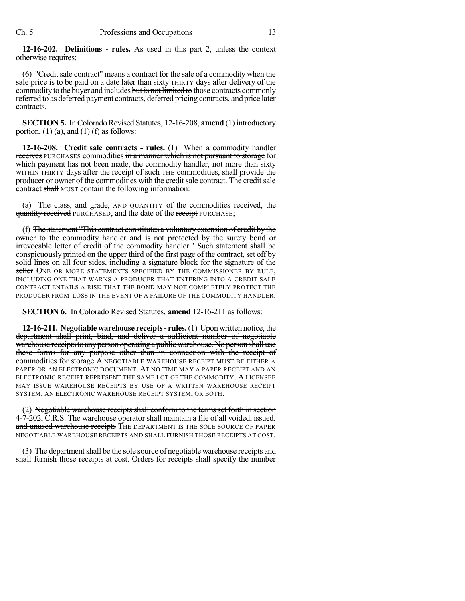**12-16-202. Definitions - rules.** As used in this part 2, unless the context otherwise requires:

(6) "Creditsale contract" means a contract for the sale of a commodity when the sale price is to be paid on a date later than sixty THIRTY days after delivery of the commodity to the buyer and includes but is not limited to those contracts commonly referred to as deferred payment contracts, deferred pricing contracts, and price later contracts.

**SECTION 5.** In Colorado Revised Statutes, 12-16-208, **amend** (1) introductory portion,  $(1)$  (a), and  $(1)$  (f) as follows:

**12-16-208. Credit sale contracts - rules.** (1) When a commodity handler receives PURCHASES commodities in a manner which is not pursuant to storage for which payment has not been made, the commodity handler, not more than sixty WITHIN THIRTY days after the receipt of such THE commodities, shall provide the producer or owner of the commodities with the creditsale contract. The credit sale contract shall MUST contain the following information:

(a) The class,  $\frac{d}{dt}$  grade, AND QUANTITY of the commodities received, the quantity received PURCHASED, and the date of the receipt PURCHASE;

(f) The statement "This contract constitutes a voluntaryextension of credit by the owner to the commodity handler and is not protected by the surety bond or irrevocable letter of credit of the commodity handler." Such statement shall be conspicuously printed on the upper third of the first page of the contract, set off by solid lines on all four sides, including a signature block for the signature of the seller ONE OR MORE STATEMENTS SPECIFIED BY THE COMMISSIONER BY RULE, INCLUDING ONE THAT WARNS A PRODUCER THAT ENTERING INTO A CREDIT SALE CONTRACT ENTAILS A RISK THAT THE BOND MAY NOT COMPLETELY PROTECT THE PRODUCER FROM LOSS IN THE EVENT OF A FAILURE OF THE COMMODITY HANDLER.

**SECTION 6.** In Colorado Revised Statutes, **amend** 12-16-211 as follows:

**12-16-211. Negotiablewarehouse receipts- rules.**(1) Upon written notice, the department shall print, bind, and deliver a sufficient number of negotiable warehouse receipts to any person operating a public warehouse. No person shall use these forms for any purpose other than in connection with the receipt of commodities for storage A NEGOTIABLE WAREHOUSE RECEIPT MUST BE EITHER A PAPER OR AN ELECTRONIC DOCUMENT. AT NO TIME MAY A PAPER RECEIPT AND AN ELECTRONIC RECEIPT REPRESENT THE SAME LOT OF THE COMMODITY. A LICENSEE MAY ISSUE WAREHOUSE RECEIPTS BY USE OF A WRITTEN WAREHOUSE RECEIPT SYSTEM, AN ELECTRONIC WAREHOUSE RECEIPT SYSTEM, OR BOTH.

(2) Negotiable warehouse receipts shall conform to the terms set forth in section 4-7-202, C.R.S. The warehouse operator shall maintain a file of all voided, issued, and unused warehouse receipts THE DEPARTMENT IS THE SOLE SOURCE OF PAPER NEGOTIABLE WAREHOUSE RECEIPTS AND SHALL FURNISH THOSE RECEIPTS AT COST.

(3) The department shall be the sole source of negotiable warehouse receipts and shall furnish those receipts at cost. Orders for receipts shall specify the number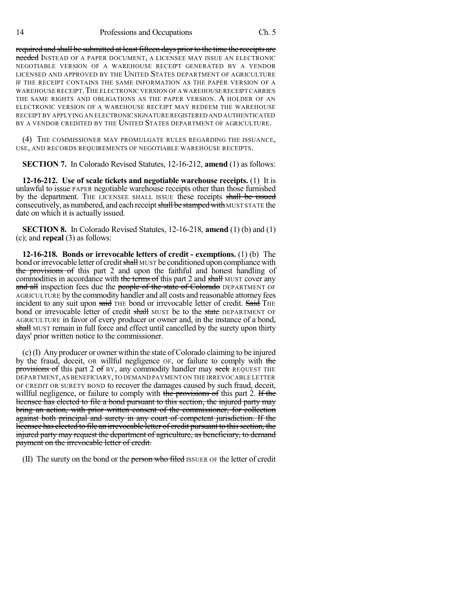required and shall be submitted at least fifteen days prior to the time the receipts are needed INSTEAD OF A PAPER DOCUMENT, A LICENSEE MAY ISSUE AN ELECTRONIC NEGOTIABLE VERSION OF A WAREHOUSE RECEIPT GENERATED BY A VENDOR LICENSED AND APPROVED BY THE UNITED STATES DEPARTMENT OF AGRICULTURE IF THE RECEIPT CONTAINS THE SAME INFORMATION AS THE PAPER VERSION OF A WAREHOUSE RECEIPT. THE ELECTRONIC VERSION OF A WAREHOUSE RECEIPT CARRIES THE SAME RIGHTS AND OBLIGATIONS AS THE PAPER VERSION. A HOLDER OF AN ELECTRONIC VERSION OF A WAREHOUSE RECEIPT MAY REDEEM THE WAREHOUSE RECEIPT BY APPLYING AN ELECTRONICSIGNATURE REGISTERED AND AUTHENTICATED BY A VENDOR CREDITED BY THE UNITED STATES DEPARTMENT OF AGRICULTURE.

(4) THE COMMISSIONER MAY PROMULGATE RULES REGARDING THE ISSUANCE, USE, AND RECORDS REQUIREMENTS OF NEGOTIABLE WAREHOUSE RECEIPTS.

**SECTION 7.** In Colorado Revised Statutes, 12-16-212, **amend** (1) as follows:

**12-16-212. Use of scale tickets and negotiable warehouse receipts.** (1) It is unlawful to issue PAPER negotiable warehouse receipts other than those furnished by the department. The LICENSEE SHALL ISSUE these receipts shall be issued consecutively, as numbered, and each receipt shall be stamped with MUST STATE the date on which it is actually issued.

**SECTION 8.** In Colorado Revised Statutes, 12-16-218, **amend** (1) (b) and (1) (c); and **repeal** (3) as follows:

**12-16-218. Bonds or irrevocable letters of credit - exemptions.** (1) (b) The bond or irrevocable letter of credit shall MUST be conditioned upon compliance with the provisions of this part 2 and upon the faithful and honest handling of commodities in accordance with the terms of this part 2 and shall MUST cover any and all inspection fees due the people of the state of Colorado DEPARTMENT OF AGRICULTURE by the commodity handler and all costs and reasonable attorney fees incident to any suit upon said THE bond or irrevocable letter of credit. Said THE bond or irrevocable letter of credit shall MUST be to the state DEPARTMENT OF AGRICULTURE in favor of every producer or owner and, in the instance of a bond, shall MUST remain in full force and effect until cancelled by the surety upon thirty days' prior written notice to the commissioner.

 $(c)$  (I) Any producer or owner within the state of Colorado claiming to be injured by the fraud, deceit, OR willful negligence OF, or failure to comply with the provisions of this part 2 of BY, any commodity handler may seek REQUEST THE DEPARTMENT,AS BENEFICIARY,TO DEMAND PAYMENT ON THE IRREVOCABLE LETTER OF CREDIT OR SURETY BOND to recover the damages caused by such fraud, deceit, willful negligence, or failure to comply with the provisions of this part 2. If the licensee has elected to file a bond pursuant to this section, the injured party may bring an action, with prior written consent of the commissioner, for collection against both principal and surety in any court of competent jurisdiction. If the licensee has elected to file an irrevocable letter of credit pursuant to thissection, the injured party may request the department of agriculture, as beneficiary, to demand payment on the irrevocable letter of credit.

(II) The surety on the bond or the person who filed ISSUER OF the letter of credit